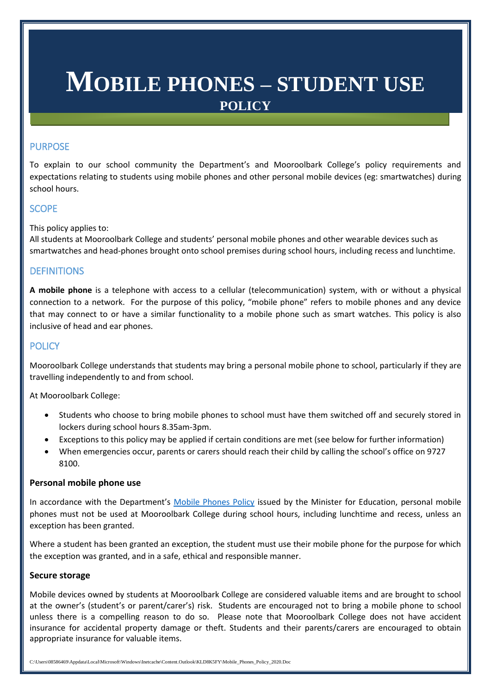# **MOBILE PHONES – STUDENT USE POLICY**

# PURPOSE

To explain to our school community the Department's and Mooroolbark College's policy requirements and expectations relating to students using mobile phones and other personal mobile devices (eg: smartwatches) during school hours.

# **SCOPE**

This policy applies to:

All students at Mooroolbark College and students' personal mobile phones and other wearable devices such as smartwatches and head-phones brought onto school premises during school hours, including recess and lunchtime.

# **DEFINITIONS**

**A mobile phone** is a telephone with access to a cellular (telecommunication) system, with or without a physical connection to a network. For the purpose of this policy, "mobile phone" refers to mobile phones and any device that may connect to or have a similar functionality to a mobile phone such as smart watches. This policy is also inclusive of head and ear phones.

## **POLICY**

Mooroolbark College understands that students may bring a personal mobile phone to school, particularly if they are travelling independently to and from school.

At Mooroolbark College:

- Students who choose to bring mobile phones to school must have them switched off and securely stored in lockers during school hours 8.35am-3pm.
- Exceptions to this policy may be applied if certain conditions are met (see below for further information)
- When emergencies occur, parents or carers should reach their child by calling the school's office on 9727 8100.

#### **Personal mobile phone use**

In accordance with the Department's [Mobile Phones Policy](https://www.education.vic.gov.au/school/principals/spag/safety/Pages/mobilephones.aspx) issued by the Minister for Education, personal mobile phones must not be used at Mooroolbark College during school hours, including lunchtime and recess, unless an exception has been granted.

Where a student has been granted an exception, the student must use their mobile phone for the purpose for which the exception was granted, and in a safe, ethical and responsible manner.

#### **Secure storage**

Mobile devices owned by students at Mooroolbark College are considered valuable items and are brought to school at the owner's (student's or parent/carer's) risk. Students are encouraged not to bring a mobile phone to school unless there is a compelling reason to do so. Please note that Mooroolbark College does not have accident insurance for accidental property damage or theft. Students and their parents/carers are encouraged to obtain appropriate insurance for valuable items.

C:\Users\08586469\Appdata\Local\Microsoft\Windows\Inetcache\Content.Outlook\KLD8K5FY\Mobile\_Phones\_Policy\_2020.Doc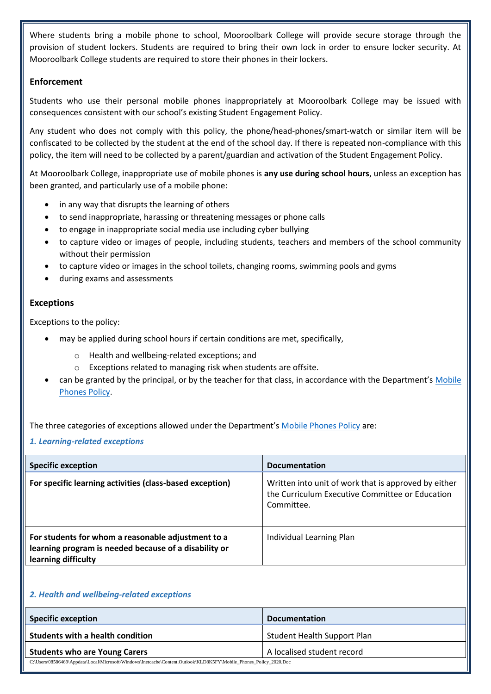Where students bring a mobile phone to school, Mooroolbark College will provide secure storage through the provision of student lockers. Students are required to bring their own lock in order to ensure locker security. At Mooroolbark College students are required to store their phones in their lockers.

## **Enforcement**

Students who use their personal mobile phones inappropriately at Mooroolbark College may be issued with consequences consistent with our school's existing Student Engagement Policy.

Any student who does not comply with this policy, the phone/head-phones/smart-watch or similar item will be confiscated to be collected by the student at the end of the school day. If there is repeated non-compliance with this policy, the item will need to be collected by a parent/guardian and activation of the Student Engagement Policy.

At Mooroolbark College, inappropriate use of mobile phones is **any use during school hours**, unless an exception has been granted, and particularly use of a mobile phone:

- in any way that disrupts the learning of others
- to send inappropriate, harassing or threatening messages or phone calls
- to engage in inappropriate social media use including cyber bullying
- to capture video or images of people, including students, teachers and members of the school community without their permission
- to capture video or images in the school toilets, changing rooms, swimming pools and gyms
- during exams and assessments

## **Exceptions**

Exceptions to the policy:

- may be applied during school hours if certain conditions are met, specifically,
	- o Health and wellbeing-related exceptions; and
	- o Exceptions related to managing risk when students are offsite.
- can be granted by the principal, or by the teacher for that class, in accordance with the Department's Mobile [Phones Policy.](https://www.education.vic.gov.au/school/principals/spag/safety/Pages/mobilephones.aspx)

The three categories of exceptions allowed under the Department's [Mobile Phones Policy](https://www.education.vic.gov.au/school/principals/spag/safety/Pages/mobilephones.aspx) are:

*1. Learning-related exceptions*

| <b>Specific exception</b>                                                                                                          | <b>Documentation</b>                                                                                                  |
|------------------------------------------------------------------------------------------------------------------------------------|-----------------------------------------------------------------------------------------------------------------------|
| For specific learning activities (class-based exception)                                                                           | Written into unit of work that is approved by either<br>the Curriculum Executive Committee or Education<br>Committee. |
| For students for whom a reasonable adjustment to a<br>learning program is needed because of a disability or<br>learning difficulty | Individual Learning Plan                                                                                              |

## *2. Health and wellbeing-related exceptions*

| <b>Specific exception</b>                                                                                          | <b>Documentation</b>               |  |
|--------------------------------------------------------------------------------------------------------------------|------------------------------------|--|
| Students with a health condition                                                                                   | <b>Student Health Support Plan</b> |  |
| <b>Students who are Young Carers</b>                                                                               | A localised student record         |  |
| C:\Users\08586469\Appdata\Local\Microsoft\Windows\Inetcache\Content.Outlook\KLD8K5FY\Mobile Phones Policy 2020.Doc |                                    |  |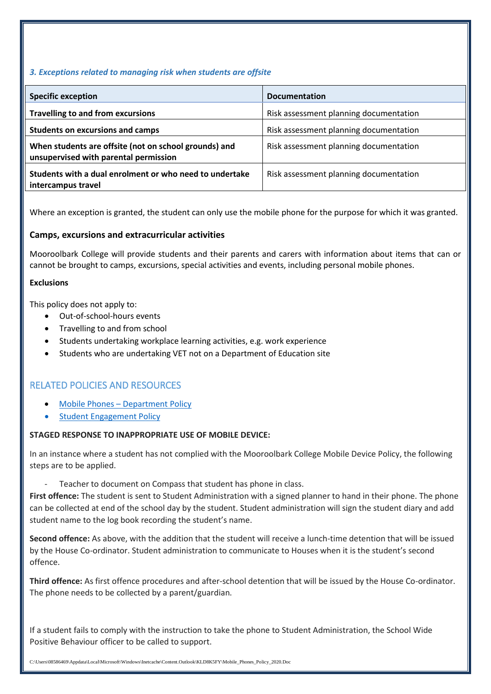### *3. Exceptions related to managing risk when students are offsite*

| <b>Specific exception</b>                                                                      | <b>Documentation</b>                   |
|------------------------------------------------------------------------------------------------|----------------------------------------|
| <b>Travelling to and from excursions</b>                                                       | Risk assessment planning documentation |
| <b>Students on excursions and camps</b>                                                        | Risk assessment planning documentation |
| When students are offsite (not on school grounds) and<br>unsupervised with parental permission | Risk assessment planning documentation |
| Students with a dual enrolment or who need to undertake<br>intercampus travel                  | Risk assessment planning documentation |

Where an exception is granted, the student can only use the mobile phone for the purpose for which it was granted.

### **Camps, excursions and extracurricular activities**

Mooroolbark College will provide students and their parents and carers with information about items that can or cannot be brought to camps, excursions, special activities and events, including personal mobile phones.

#### **Exclusions**

This policy does not apply to:

- Out-of-school-hours events
- Travelling to and from school
- Students undertaking workplace learning activities, e.g. work experience
- Students who are undertaking VET not on a Department of Education site

# RELATED POLICIES AND RESOURCES

- Mobile Phones [Department Policy](https://www.education.vic.gov.au/school/principals/spag/safety/Pages/mobilephones.aspx)
- Student Engagement Policy

#### **STAGED RESPONSE TO INAPPROPRIATE USE OF MOBILE DEVICE:**

In an instance where a student has not complied with the Mooroolbark College Mobile Device Policy, the following steps are to be applied.

Teacher to document on Compass that student has phone in class.

**First offence:** The student is sent to Student Administration with a signed planner to hand in their phone. The phone can be collected at end of the school day by the student. Student administration will sign the student diary and add student name to the log book recording the student's name.

**Second offence:** As above, with the addition that the student will receive a lunch-time detention that will be issued by the House Co-ordinator. Student administration to communicate to Houses when it is the student's second offence.

**Third offence:** As first offence procedures and after-school detention that will be issued by the House Co-ordinator. The phone needs to be collected by a parent/guardian.

If a student fails to comply with the instruction to take the phone to Student Administration, the School Wide Positive Behaviour officer to be called to support.

C:\Users\08586469\Appdata\Local\Microsoft\Windows\Inetcache\Content.Outlook\KLD8K5FY\Mobile\_Phones\_Policy\_2020.Doc